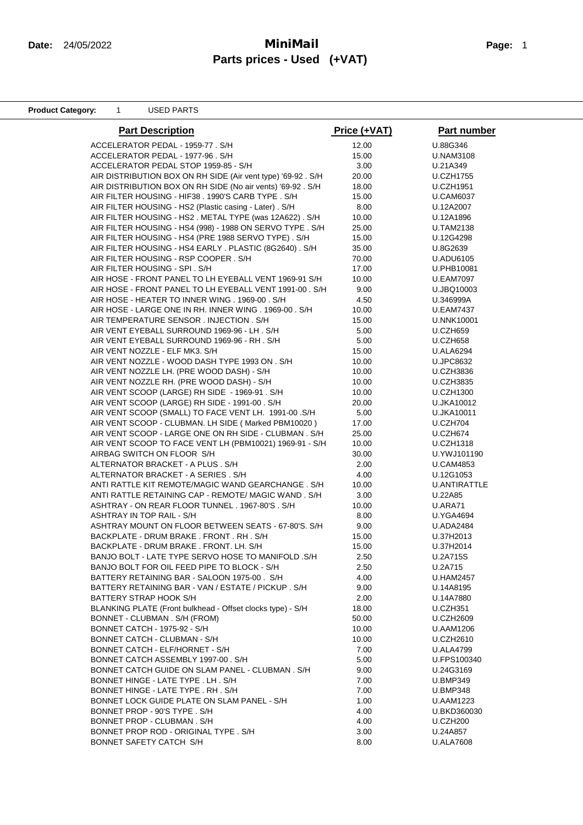### **Date:** 24/05/2022 **MiniMail Page:** <sup>1</sup> **Parts prices - Used (+VAT)**

**Product Category:** 1 USED PARTS

| <b>Part Description</b>                                     | Price (+VAT) | Part number      |
|-------------------------------------------------------------|--------------|------------------|
| ACCELERATOR PEDAL - 1959-77 . S/H                           | 12.00        | U.88G346         |
| ACCELERATOR PEDAL - 1977-96. S/H                            | 15.00        | <b>U.NAM3108</b> |
| ACCELERATOR PEDAL STOP 1959-85 - S/H                        | 3.00         | U.21A349         |
| AIR DISTRIBUTION BOX ON RH SIDE (Air vent type) '69-92. S/H | 20.00        | U.CZH1755        |
| AIR DISTRIBUTION BOX ON RH SIDE (No air vents) '69-92. S/H  | 18.00        | <b>U.CZH1951</b> |
| AIR FILTER HOUSING - HIF38 . 1990'S CARB TYPE . S/H         | 15.00        | <b>U.CAM6037</b> |
| AIR FILTER HOUSING - HS2 (Plastic casing - Later) . S/H     | 8.00         | U.12A2007        |
| AIR FILTER HOUSING - HS2. METAL TYPE (was 12A622). S/H      | 10.00        | U.12A1896        |
| AIR FILTER HOUSING - HS4 (998) - 1988 ON SERVO TYPE . S/H   | 25.00        | <b>U.TAM2138</b> |
| AIR FILTER HOUSING - HS4 (PRE 1988 SERVO TYPE). S/H         | 15.00        | U.12G4298        |
| AIR FILTER HOUSING - HS4 EARLY . PLASTIC (8G2640). S/H      | 35.00        | U.8G2639         |
| AIR FILTER HOUSING - RSP COOPER. S/H                        | 70.00        | <b>U.ADU6105</b> |
| AIR FILTER HOUSING - SPI. S/H                               | 17.00        | U.PHB10081       |
| AIR HOSE - FRONT PANEL TO LH EYEBALL VENT 1969-91 S/H       | 10.00        | <b>U.EAM7097</b> |
| AIR HOSE - FRONT PANEL TO LH EYEBALL VENT 1991-00. S/H      | 9.00         | U.JBQ10003       |
| AIR HOSE - HEATER TO INNER WING . 1969-00 . S/H             | 4.50         | U.346999A        |
| AIR HOSE - LARGE ONE IN RH. INNER WING . 1969-00 . S/H      | 10.00        | <b>U.EAM7437</b> |
| AIR TEMPERATURE SENSOR . INJECTION . S/H                    | 15.00        | U.NNK10001       |
| AIR VENT EYEBALL SURROUND 1969-96 - LH. S/H                 | 5.00         | U.CZH659         |
| AIR VENT EYEBALL SURROUND 1969-96 - RH. S/H                 | 5.00         | <b>U.CZH658</b>  |
| AIR VENT NOZZLE - ELF MK3. S/H                              | 15.00        | <b>U.ALA6294</b> |
| AIR VENT NOZZLE - WOOD DASH TYPE 1993 ON . S/H              | 10.00        | <b>U.JPC8632</b> |
| AIR VENT NOZZLE LH. (PRE WOOD DASH) - S/H                   | 10.00        | <b>U.CZH3836</b> |
| AIR VENT NOZZLE RH. (PRE WOOD DASH) - S/H                   | 10.00        | <b>U.CZH3835</b> |
| AIR VENT SCOOP (LARGE) RH SIDE - 1969-91 . S/H              | 10.00        | <b>U.CZH1300</b> |
| AIR VENT SCOOP (LARGE) RH SIDE - 1991-00. S/H               | 20.00        | U.JKA10012       |
| AIR VENT SCOOP (SMALL) TO FACE VENT LH. 1991-00 .S/H        | 5.00         | U.JKA10011       |
| AIR VENT SCOOP - CLUBMAN. LH SIDE (Marked PBM10020)         | 17.00        | U.CZH704         |
| AIR VENT SCOOP - LARGE ONE ON RH SIDE - CLUBMAN. S/H        | 25.00        | U.CZH674         |
| AIR VENT SCOOP TO FACE VENT LH (PBM10021) 1969-91 - S/H     | 10.00        | U.CZH1318        |
| AIRBAG SWITCH ON FLOOR S/H                                  | 30.00        | U.YWJ101190      |
| ALTERNATOR BRACKET - A PLUS. S/H                            | 2.00         | <b>U.CAM4853</b> |
| ALTERNATOR BRACKET - A SERIES . S/H                         | 4.00         | U.12G1053        |
| ANTI RATTLE KIT REMOTE/MAGIC WAND GEARCHANGE. S/H           | 10.00        | U.ANTIRATTLE     |
| ANTI RATTLE RETAINING CAP - REMOTE/ MAGIC WAND. S/H         | 3.00         | U.22A85          |
| ASHTRAY - ON REAR FLOOR TUNNEL . 1967-80'S . S/H            | 10.00        | U.ARA71          |
| ASHTRAY IN TOP RAIL - S/H                                   | 8.00         | <b>U.YGA4694</b> |
| ASHTRAY MOUNT ON FLOOR BETWEEN SEATS - 67-80'S. S/H         | 9.00         | <b>U.ADA2484</b> |
| BACKPLATE - DRUM BRAKE. FRONT. RH. S/H                      | 15.00        | U.37H2013        |
| BACKPLATE - DRUM BRAKE . FRONT. LH. S/H                     | 15.00        | U.37H2014        |
| BANJO BOLT - LATE TYPE SERVO HOSE TO MANIFOLD .S/H          | 2.50         | U.2A715S         |
| BANJO BOLT FOR OIL FEED PIPE TO BLOCK - S/H                 | 2.50         | U.2A715          |
| BATTERY RETAINING BAR - SALOON 1975-00. S/H                 | 4.00         | <b>U.HAM2457</b> |
| BATTERY RETAINING BAR - VAN / ESTATE / PICKUP. S/H          | 9.00         | U.14A8195        |
| BATTERY STRAP HOOK S/H                                      | 2.00         | U.14A7880        |
| BLANKING PLATE (Front bulkhead - Offset clocks type) - S/H  | 18.00        | <b>U.CZH351</b>  |
| BONNET - CLUBMAN. S/H (FROM)                                | 50.00        | <b>U.CZH2609</b> |
| BONNET CATCH - 1975-92 - S/H                                | 10.00        | <b>U.AAM1206</b> |
| BONNET CATCH - CLUBMAN - S/H                                | 10.00        | <b>U.CZH2610</b> |
| BONNET CATCH - ELF/HORNET - S/H                             | 7.00         | <b>U.ALA4799</b> |
| BONNET CATCH ASSEMBLY 1997-00. S/H                          | 5.00         | U.FPS100340      |
| BONNET CATCH GUIDE ON SLAM PANEL - CLUBMAN. S/H             | 9.00         | U.24G3169        |
| BONNET HINGE - LATE TYPE . LH. S/H                          | 7.00         | <b>U.BMP349</b>  |
| BONNET HINGE - LATE TYPE. RH. S/H                           | 7.00         | <b>U.BMP348</b>  |
| BONNET LOCK GUIDE PLATE ON SLAM PANEL - S/H                 | 1.00         | <b>U.AAM1223</b> |
| BONNET PROP - 90'S TYPE. S/H                                | 4.00         | U.BKD360030      |
| BONNET PROP - CLUBMAN. S/H                                  | 4.00         | <b>U.CZH200</b>  |
| BONNET PROP ROD - ORIGINAL TYPE. S/H                        | 3.00         | U.24A857         |
| BONNET SAFETY CATCH S/H                                     | 8.00         | U.ALA7608        |
|                                                             |              |                  |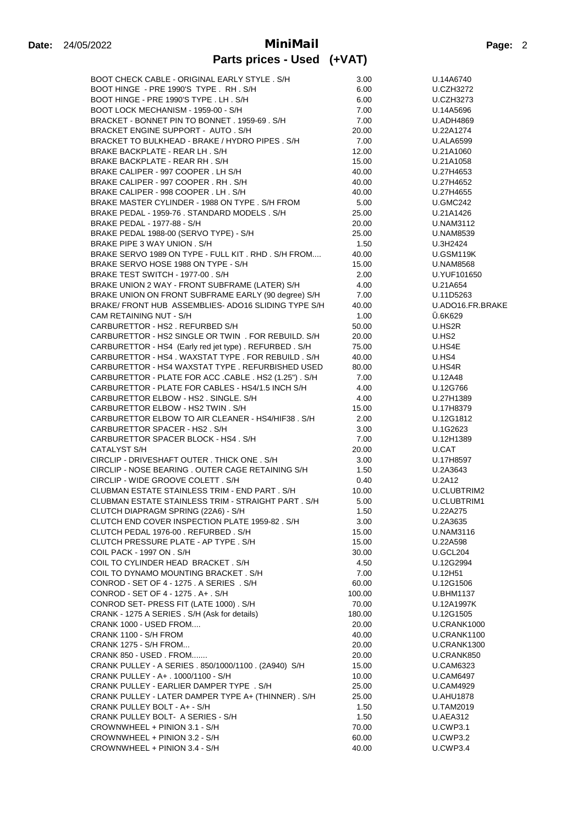| BOOT CHECK CABLE - ORIGINAL EARLY STYLE . S/H                                  | 3.00   | U.14A6740                          |
|--------------------------------------------------------------------------------|--------|------------------------------------|
| BOOT HINGE - PRE 1990'S TYPE. RH. S/H                                          | 6.00   | <b>U.CZH3272</b>                   |
| BOOT HINGE - PRE 1990'S TYPE . LH. S/H                                         | 6.00   | <b>U.CZH3273</b>                   |
| BOOT LOCK MECHANISM - 1959-00 - S/H                                            | 7.00   | U.14A5696                          |
| BRACKET - BONNET PIN TO BONNET. 1959-69. S/H                                   | 7.00   | <b>U.ADH4869</b>                   |
| BRACKET ENGINE SUPPORT - AUTO, S/H                                             | 20.00  | U.22A1274                          |
| BRACKET TO BULKHEAD - BRAKE / HYDRO PIPES . S/H                                | 7.00   | <b>U.ALA6599</b>                   |
| BRAKE BACKPLATE - REAR LH. S/H                                                 | 12.00  | U.21A1060                          |
| BRAKE BACKPLATE - REAR RH. S/H                                                 | 15.00  | U.21A1058                          |
| BRAKE CALIPER - 997 COOPER. LH S/H                                             | 40.00  | U.27H4653                          |
| BRAKE CALIPER - 997 COOPER. RH. S/H                                            | 40.00  | U.27H4652                          |
| BRAKE CALIPER - 998 COOPER. LH. S/H                                            | 40.00  | U.27H4655                          |
| BRAKE MASTER CYLINDER - 1988 ON TYPE, S/H FROM                                 | 5.00   | <b>U.GMC242</b>                    |
| BRAKE PEDAL - 1959-76 . STANDARD MODELS . S/H                                  | 25.00  | U.21A1426                          |
| BRAKE PEDAL - 1977-88 - S/H                                                    | 20.00  | <b>U.NAM3112</b>                   |
| BRAKE PEDAL 1988-00 (SERVO TYPE) - S/H                                         | 25.00  | <b>U.NAM8539</b>                   |
| BRAKE PIPE 3 WAY UNION . S/H                                                   | 1.50   | U.3H2424                           |
| BRAKE SERVO 1989 ON TYPE - FULL KIT. RHD. S/H FROM                             | 40.00  | U.GSM119K                          |
| BRAKE SERVO HOSE 1988 ON TYPE - S/H                                            | 15.00  | <b>U.NAM8568</b>                   |
| BRAKE TEST SWITCH - 1977-00 . S/H                                              | 2.00   | U.YUF101650                        |
| BRAKE UNION 2 WAY - FRONT SUBFRAME (LATER) S/H                                 | 4.00   | U.21A654                           |
| BRAKE UNION ON FRONT SUBFRAME EARLY (90 degree) S/H                            | 7.00   | U.11D5263                          |
|                                                                                |        |                                    |
| BRAKE/ FRONT HUB ASSEMBLIES- ADO16 SLIDING TYPE S/H<br>CAM RETAINING NUT - S/H | 40.00  | U.ADO16.FR.BRAKE<br><b>U.6K629</b> |
|                                                                                | 1.00   |                                    |
| CARBURETTOR - HS2. REFURBED S/H                                                | 50.00  | U.HS2R                             |
| CARBURETTOR - HS2 SINGLE OR TWIN . FOR REBUILD. S/H                            | 20.00  | U.HS2                              |
| CARBURETTOR - HS4 (Early red jet type). REFURBED. S/H                          | 75.00  | U.HS4E                             |
| CARBURETTOR - HS4, WAXSTAT TYPE, FOR REBUILD, S/H                              | 40.00  | U.HS4                              |
| CARBURETTOR - HS4 WAXSTAT TYPE. REFURBISHED USED                               | 80.00  | U.HS4R                             |
| CARBURETTOR - PLATE FOR ACC .CABLE . HS2 (1.25") . S/H                         | 7.00   | U.12A48                            |
| CARBURETTOR - PLATE FOR CABLES - HS4/1.5 INCH S/H                              | 4.00   | U.12G766                           |
| CARBURETTOR ELBOW - HS2 . SINGLE. S/H                                          | 4.00   | U.27H1389                          |
| CARBURETTOR ELBOW - HS2 TWIN. S/H                                              | 15.00  | U.17H8379                          |
| CARBURETTOR ELBOW TO AIR CLEANER - HS4/HIF38. S/H                              | 2.00   | U.12G1812                          |
| CARBURETTOR SPACER - HS2. S/H                                                  | 3.00   | U.1G2623                           |
| CARBURETTOR SPACER BLOCK - HS4. S/H                                            | 7.00   | U.12H1389                          |
| CATALYST S/H                                                                   | 20.00  | U.CAT                              |
| CIRCLIP - DRIVESHAFT OUTER. THICK ONE. S/H                                     | 3.00   | U.17H8597                          |
| CIRCLIP - NOSE BEARING . OUTER CAGE RETAINING S/H                              | 1.50   | U.2A3643                           |
| CIRCLIP - WIDE GROOVE COLETT. S/H                                              | 0.40   | U.2A12                             |
| CLUBMAN ESTATE STAINLESS TRIM - END PART. S/H                                  | 10.00  | U.CLUBTRIM2                        |
| CLUBMAN ESTATE STAINLESS TRIM - STRAIGHT PART. S/H                             | 5.00   | U.CLUBTRIM1                        |
| CLUTCH DIAPRAGM SPRING (22A6) - S/H                                            | 1.50   | U.22A275                           |
| CLUTCH END COVER INSPECTION PLATE 1959-82. S/H                                 | 3.00   | U.2A3635                           |
| CLUTCH PEDAL 1976-00, REFURBED, S/H                                            | 15.00  | <b>U.NAM3116</b>                   |
| CLUTCH PRESSURE PLATE - AP TYPE. S/H                                           | 15.00  | U.22A598                           |
| COIL PACK - 1997 ON . S/H                                                      | 30.00  | U.GCL204                           |
| COIL TO CYLINDER HEAD BRACKET. S/H                                             | 4.50   | U.12G2994                          |
| COIL TO DYNAMO MOUNTING BRACKET. S/H                                           | 7.00   | U.12H51                            |
| CONROD - SET OF 4 - 1275 . A SERIES . S/H                                      | 60.00  | U.12G1506                          |
| CONROD - SET OF 4 - 1275 . A+ . S/H                                            | 100.00 | U.BHM1137                          |
| CONROD SET- PRESS FIT (LATE 1000). S/H                                         | 70.00  | U.12A1997K                         |
| CRANK - 1275 A SERIES . S/H (Ask for details)                                  | 180.00 | U.12G1505                          |
| CRANK 1000 - USED FROM                                                         | 20.00  | U.CRANK1000                        |
| CRANK 1100 - S/H FROM                                                          | 40.00  | U.CRANK1100                        |
| CRANK 1275 - S/H FROM                                                          | 20.00  | U.CRANK1300                        |
| CRANK 850 - USED. FROM                                                         | 20.00  | U.CRANK850                         |
| CRANK PULLEY - A SERIES . 850/1000/1100 . (2A940) S/H                          | 15.00  | <b>U.CAM6323</b>                   |
|                                                                                |        |                                    |
| CRANK PULLEY - A+ . 1000/1100 - S/H                                            | 10.00  | <b>U.CAM6497</b>                   |
| CRANK PULLEY - EARLIER DAMPER TYPE . S/H                                       | 25.00  | <b>U.CAM4929</b>                   |
| CRANK PULLEY - LATER DAMPER TYPE A+ (THINNER). S/H                             | 25.00  | <b>U.AHU1878</b>                   |
| CRANK PULLEY BOLT - A+ - S/H                                                   | 1.50   | <b>U.TAM2019</b>                   |
| CRANK PULLEY BOLT- A SERIES - S/H                                              | 1.50   | <b>U.AEA312</b>                    |
| CROWNWHEEL + PINION 3.1 - S/H                                                  | 70.00  | U.CWP3.1                           |
| CROWNWHEEL + PINION 3.2 - S/H                                                  | 60.00  | U.CWP3.2                           |
| CROWNWHEEL + PINION 3.4 - S/H                                                  | 40.00  | U.CWP3.4                           |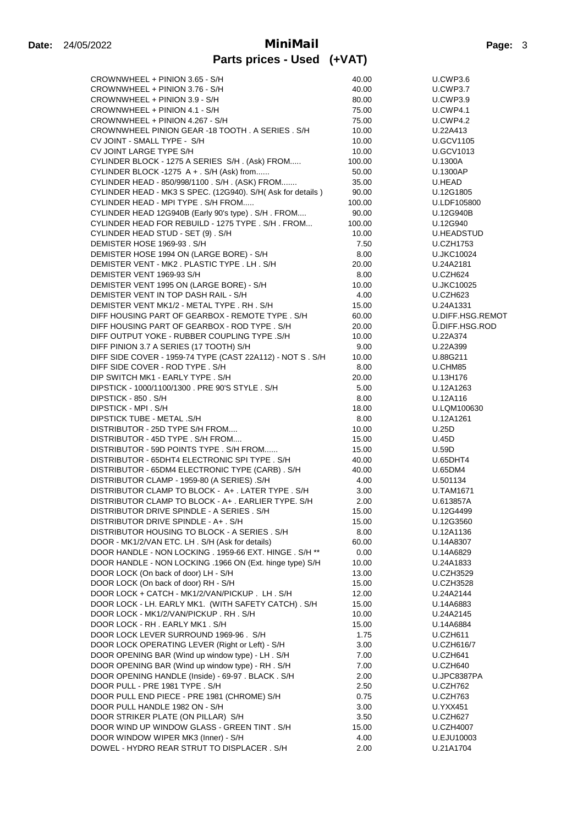# **Date:** 24/05/2022 **MiniMail Page:** <sup>3</sup>

| CROWNWHEEL + PINION 3.65 - S/H                                                                   | 40.00          | U.CWP3.6                             |
|--------------------------------------------------------------------------------------------------|----------------|--------------------------------------|
| CROWNWHEEL + PINION 3.76 - S/H                                                                   | 40.00          | U.CWP3.7                             |
| CROWNWHEEL + PINION 3.9 - S/H                                                                    | 80.00          | U.CWP3.9                             |
| CROWNWHEEL + PINION 4.1 - S/H                                                                    | 75.00          | <b>U.CWP4.1</b>                      |
| CROWNWHEEL + PINION 4.267 - S/H                                                                  | 75.00          | U.CWP4.2                             |
| CROWNWHEEL PINION GEAR -18 TOOTH. A SERIES. S/H                                                  | 10.00          | U.22A413                             |
| CV JOINT - SMALL TYPE - S/H                                                                      | 10.00          | <b>U.GCV1105</b>                     |
| CV JOINT LARGE TYPE S/H                                                                          | 10.00          | <b>U.GCV1013</b>                     |
| CYLINDER BLOCK - 1275 A SERIES S/H. (Ask) FROM                                                   | 100.00         | U.1300A                              |
| CYLINDER BLOCK -1275 A + . S/H (Ask) from                                                        | 50.00          | U.1300AP                             |
| CYLINDER HEAD - 850/998/1100 . S/H . (ASK) FROM                                                  | 35.00          | U.HEAD                               |
| CYLINDER HEAD - MK3 S SPEC. (12G940). S/H( Ask for details )                                     | 90.00          | U.12G1805                            |
| CYLINDER HEAD - MPI TYPE . S/H FROM                                                              | 100.00         | U.LDF105800                          |
| CYLINDER HEAD 12G940B (Early 90's type). S/H. FROM                                               | 90.00          | U.12G940B                            |
| CYLINDER HEAD FOR REBUILD - 1275 TYPE . S/H. FROM                                                | 100.00         | U.12G940                             |
| CYLINDER HEAD STUD - SET (9) . S/H                                                               | 10.00          | U.HEADSTUD                           |
| DEMISTER HOSE 1969-93. S/H                                                                       | 7.50           | <b>U.CZH1753</b>                     |
| DEMISTER HOSE 1994 ON (LARGE BORE) - S/H                                                         | 8.00           | <b>U.JKC10024</b>                    |
| DEMISTER VENT - MK2. PLASTIC TYPE. LH. S/H                                                       | 20.00          | U.24A2181                            |
| DEMISTER VENT 1969-93 S/H<br>DEMISTER VENT 1995 ON (LARGE BORE) - S/H                            | 8.00<br>10.00  | U.CZH624<br><b>U.JKC10025</b>        |
| DEMISTER VENT IN TOP DASH RAIL - S/H                                                             | 4.00           | <b>U.CZH623</b>                      |
| DEMISTER VENT MK1/2 - METAL TYPE . RH . S/H                                                      | 15.00          | U.24A1331                            |
| DIFF HOUSING PART OF GEARBOX - REMOTE TYPE. S/H                                                  | 60.00          | U.DIFF.HSG.REMOT                     |
| DIFF HOUSING PART OF GEARBOX - ROD TYPE, S/H                                                     | 20.00          | <b>U.DIFF.HSG.ROD</b>                |
| DIFF OUTPUT YOKE - RUBBER COUPLING TYPE .S/H                                                     | 10.00          | U.22A374                             |
| DIFF PINION 3.7 A SERIES (17 TOOTH) S/H                                                          | 9.00           | U.22A399                             |
| DIFF SIDE COVER - 1959-74 TYPE (CAST 22A112) - NOT S. S/H                                        | 10.00          | U.88G211                             |
| DIFF SIDE COVER - ROD TYPE. S/H                                                                  | 8.00           | U.CHM85                              |
| DIP SWITCH MK1 - EARLY TYPE. S/H                                                                 | 20.00          | U.13H176                             |
| DIPSTICK - 1000/1100/1300 . PRE 90'S STYLE . S/H                                                 | 5.00           | U.12A1263                            |
| DIPSTICK - 850 . S/H                                                                             | 8.00           | U.12A116                             |
| DIPSTICK - MPI . S/H                                                                             | 18.00          | U.LQM100630                          |
| DIPSTICK TUBE - METAL .S/H                                                                       | 8.00           | U.12A1261                            |
| DISTRIBUTOR - 25D TYPE S/H FROM                                                                  | 10.00          | U.25D                                |
| DISTRIBUTOR - 45D TYPE . S/H FROM                                                                | 15.00          | U.45D                                |
| DISTRIBUTOR - 59D POINTS TYPE . S/H FROM                                                         | 15.00          | U.59D                                |
| DISTRIBUTOR - 65DHT4 ELECTRONIC SPI TYPE . S/H                                                   | 40.00          | U.65DHT4                             |
| DISTRIBUTOR - 65DM4 ELECTRONIC TYPE (CARB). S/H                                                  | 40.00          | U.65DM4                              |
| DISTRIBUTOR CLAMP - 1959-80 (A SERIES) .S/H                                                      | 4.00           | U.501134                             |
| DISTRIBUTOR CLAMP TO BLOCK - A+. LATER TYPE. S/H                                                 | 3.00           | <b>U.TAM1671</b>                     |
| DISTRIBUTOR CLAMP TO BLOCK - A+. EARLIER TYPE. S/H                                               | 2.00           | U.613857A                            |
| DISTRIBUTOR DRIVE SPINDLE - A SERIES . S/H                                                       | 15.00          | U.12G4499                            |
| DISTRIBUTOR DRIVE SPINDLE - A+. S/H                                                              | 15.00          | U.12G3560                            |
| DISTRIBUTOR HOUSING TO BLOCK - A SERIES . S/H                                                    | 8.00           | U.12A1136                            |
| DOOR - MK1/2/VAN ETC. LH. S/H (Ask for details)                                                  | 60.00          | U.14A8307                            |
| DOOR HANDLE - NON LOCKING . 1959-66 EXT. HINGE . S/H **                                          | 0.00           | U.14A6829                            |
| DOOR HANDLE - NON LOCKING .1966 ON (Ext. hinge type) S/H<br>DOOR LOCK (On back of door) LH - S/H | 10.00<br>13.00 | U.24A1833                            |
| DOOR LOCK (On back of door) RH - S/H                                                             | 15.00          | <b>U.CZH3529</b><br><b>U.CZH3528</b> |
| DOOR LOCK + CATCH - MK1/2/VAN/PICKUP . LH . S/H                                                  | 12.00          | U.24A2144                            |
| DOOR LOCK - LH. EARLY MK1. (WITH SAFETY CATCH). S/H                                              | 15.00          | U.14A6883                            |
| DOOR LOCK - MK1/2/VAN/PICKUP . RH . S/H                                                          | 10.00          | U.24A2145                            |
| DOOR LOCK - RH. EARLY MK1. S/H                                                                   | 15.00          | U.14A6884                            |
| DOOR LOCK LEVER SURROUND 1969-96. S/H                                                            | 1.75           | U.CZH611                             |
| DOOR LOCK OPERATING LEVER (Right or Left) - S/H                                                  | 3.00           | U.CZH616/7                           |
| DOOR OPENING BAR (Wind up window type) - LH. S/H                                                 | 7.00           | U.CZH641                             |
| DOOR OPENING BAR (Wind up window type) - RH. S/H                                                 | 7.00           | U.CZH640                             |
| DOOR OPENING HANDLE (Inside) - 69-97 . BLACK . S/H                                               | 2.00           | U.JPC8387PA                          |
| DOOR PULL - PRE 1981 TYPE. S/H                                                                   | 2.50           | U.CZH762                             |
| DOOR PULL END PIECE - PRE 1981 (CHROME) S/H                                                      | 0.75           | <b>U.CZH763</b>                      |
| DOOR PULL HANDLE 1982 ON - S/H                                                                   | 3.00           | U.YXX451                             |
| DOOR STRIKER PLATE (ON PILLAR) S/H                                                               | 3.50           | U.CZH627                             |
| DOOR WIND UP WINDOW GLASS - GREEN TINT. S/H                                                      | 15.00          | <b>U.CZH4007</b>                     |
| DOOR WINDOW WIPER MK3 (Inner) - S/H                                                              | 4.00           | U.EJU10003                           |
| DOWEL - HYDRO REAR STRUT TO DISPLACER. S/H                                                       | 2.00           | U.21A1704                            |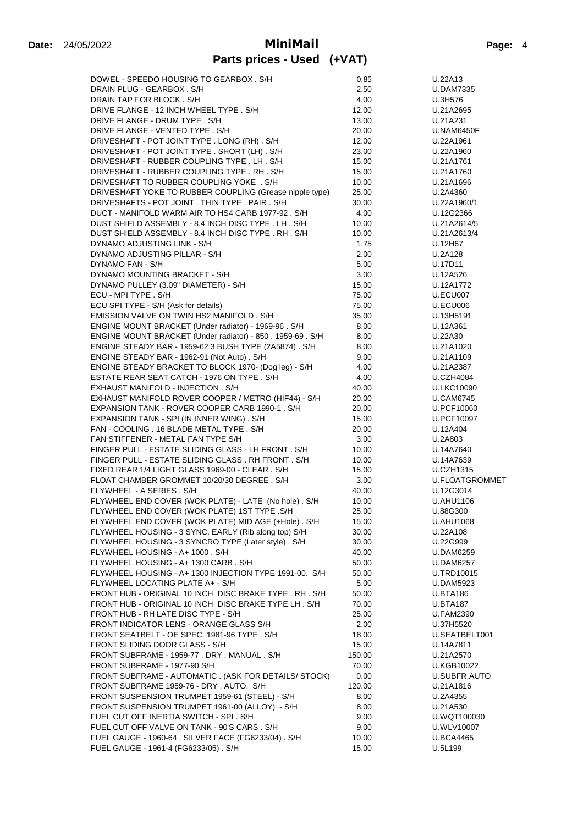| DOWEL - SPEEDO HOUSING TO GEARBOX. S/H                      | 0.85   | U.22A13           |
|-------------------------------------------------------------|--------|-------------------|
| DRAIN PLUG - GEARBOX . S/H                                  | 2.50   | <b>U.DAM7335</b>  |
| DRAIN TAP FOR BLOCK . S/H                                   | 4.00   | U.3H576           |
| DRIVE FLANGE - 12 INCH WHEEL TYPE. S/H                      | 12.00  | U.21A2695         |
| DRIVE FLANGE - DRUM TYPE. S/H                               | 13.00  | U.21A231          |
| DRIVE FLANGE - VENTED TYPE. S/H                             | 20.00  | <b>U.NAM6450F</b> |
| DRIVESHAFT - POT JOINT TYPE . LONG (RH) . S/H               | 12.00  | U.22A1961         |
| DRIVESHAFT - POT JOINT TYPE . SHORT (LH) . S/H              | 23.00  | U.22A1960         |
| DRIVESHAFT - RUBBER COUPLING TYPE . LH. S/H                 | 15.00  | U.21A1761         |
| DRIVESHAFT - RUBBER COUPLING TYPE. RH. S/H                  |        |                   |
|                                                             | 15.00  | U.21A1760         |
| DRIVESHAFT TO RUBBER COUPLING YOKE . S/H                    | 10.00  | U.21A1696         |
| DRIVESHAFT YOKE TO RUBBER COUPLING (Grease nipple type)     | 25.00  | U.2A4360          |
| DRIVESHAFTS - POT JOINT. THIN TYPE. PAIR. S/H               | 30.00  | U.22A1960/1       |
| DUCT - MANIFOLD WARM AIR TO HS4 CARB 1977-92. S/H           | 4.00   | U.12G2366         |
| DUST SHIELD ASSEMBLY - 8.4 INCH DISC TYPE . LH. S/H         | 10.00  | U.21A2614/5       |
| DUST SHIELD ASSEMBLY - 8.4 INCH DISC TYPE. RH. S/H          | 10.00  | U.21A2613/4       |
| DYNAMO ADJUSTING LINK - S/H                                 | 1.75   | U.12H67           |
| DYNAMO ADJUSTING PILLAR - S/H                               | 2.00   | U.2A128           |
| DYNAMO FAN - S/H                                            | 5.00   | U.17D11           |
| DYNAMO MOUNTING BRACKET - S/H                               | 3.00   | U.12A526          |
| DYNAMO PULLEY (3.09" DIAMETER) - S/H                        | 15.00  | U.12A1772         |
| ECU - MPI TYPE . S/H                                        | 75.00  | U.ECU007          |
| ECU SPI TYPE - S/H (Ask for details)                        | 75.00  | U.ECU006          |
| EMISSION VALVE ON TWIN HS2 MANIFOLD . S/H                   |        |                   |
|                                                             | 35.00  | U.13H5191         |
| ENGINE MOUNT BRACKET (Under radiator) - 1969-96. S/H        | 8.00   | U.12A361          |
| ENGINE MOUNT BRACKET (Under radiator) - 850 . 1959-69 . S/H | 8.00   | U.22A30           |
| ENGINE STEADY BAR - 1959-62 3 BUSH TYPE (2A5874). S/H       | 8.00   | U.21A1020         |
| ENGINE STEADY BAR - 1962-91 (Not Auto) . S/H                | 9.00   | U.21A1109         |
| ENGINE STEADY BRACKET TO BLOCK 1970- (Dog leg) - S/H        | 4.00   | U.21A2387         |
| ESTATE REAR SEAT CATCH - 1976 ON TYPE . S/H                 | 4.00   | <b>U.CZH4084</b>  |
| EXHAUST MANIFOLD - INJECTION . S/H                          | 40.00  | <b>U.LKC10090</b> |
| EXHAUST MANIFOLD ROVER COOPER / METRO (HIF44) - S/H         | 20.00  | <b>U.CAM6745</b>  |
| EXPANSION TANK - ROVER COOPER CARB 1990-1. S/H              | 20.00  | U.PCF10060        |
| EXPANSION TANK - SPI (IN INNER WING). S/H                   | 15.00  | U.PCF10097        |
| FAN - COOLING . 16 BLADE METAL TYPE . S/H                   | 20.00  | U.12A404          |
| FAN STIFFENER - METAL FAN TYPE S/H                          | 3.00   | U.2A803           |
| FINGER PULL - ESTATE SLIDING GLASS - LH FRONT. S/H          | 10.00  | U.14A7640         |
| FINGER PULL - ESTATE SLIDING GLASS. RH FRONT. S/H           | 10.00  | U.14A7639         |
| FIXED REAR 1/4 LIGHT GLASS 1969-00 - CLEAR. S/H             | 15.00  | <b>U.CZH1315</b>  |
| FLOAT CHAMBER GROMMET 10/20/30 DEGREE . S/H                 |        | U.FLOATGROMMET    |
|                                                             | 3.00   |                   |
| FLYWHEEL - A SERIES . S/H                                   | 40.00  | U.12G3014         |
| FLYWHEEL END COVER (WOK PLATE) - LATE (No hole). S/H        | 10.00  | <b>U.AHU1106</b>  |
| FLYWHEEL END COVER (WOK PLATE) 1ST TYPE .S/H                | 25.00  | U.88G300          |
| FLYWHEEL END COVER (WOK PLATE) MID AGE (+Hole). S/H         | 15.00  | <b>U.AHU1068</b>  |
| FLYWHEEL HOUSING - 3 SYNC. EARLY (Rib along top) S/H        | 30.00  | U.22A108          |
| FLYWHEEL HOUSING - 3 SYNCRO TYPE (Later style). S/H         | 30.00  | U.22G999          |
| FLYWHEEL HOUSING - A+ 1000. S/H                             | 40.00  | <b>U.DAM6259</b>  |
| FLYWHEEL HOUSING - A+ 1300 CARB. S/H                        | 50.00  | <b>U.DAM6257</b>  |
| FLYWHEEL HOUSING - A+ 1300 INJECTION TYPE 1991-00. S/H      | 50.00  | U.TRD10015        |
| FLYWHEEL LOCATING PLATE A+ - S/H                            | 5.00   | <b>U.DAM5923</b>  |
| FRONT HUB - ORIGINAL 10 INCH DISC BRAKE TYPE. RH. S/H       | 50.00  | <b>U.BTA186</b>   |
| FRONT HUB - ORIGINAL 10 INCH DISC BRAKE TYPE LH. S/H        | 70.00  | <b>U.BTA187</b>   |
| FRONT HUB - RH LATE DISC TYPE - S/H                         | 25.00  | <b>U.FAM2390</b>  |
| FRONT INDICATOR LENS - ORANGE GLASS S/H                     | 2.00   | U.37H5520         |
| FRONT SEATBELT - OE SPEC. 1981-96 TYPE. S/H                 | 18.00  | U.SEATBELT001     |
| FRONT SLIDING DOOR GLASS - S/H                              |        |                   |
|                                                             | 15.00  | U.14A7811         |
| FRONT SUBFRAME - 1959-77 . DRY . MANUAL . S/H               | 150.00 | U.21A2570         |
| FRONT SUBFRAME - 1977-90 S/H                                | 70.00  | U.KGB10022        |
| FRONT SUBFRAME - AUTOMATIC. (ASK FOR DETAILS/ STOCK)        | 0.00   | U.SUBFR.AUTO      |
| FRONT SUBFRAME 1959-76 - DRY. AUTO. S/H                     | 120.00 | U.21A1816         |
| FRONT SUSPENSION TRUMPET 1959-61 (STEEL) - S/H              | 8.00   | U.2A4355          |
| FRONT SUSPENSION TRUMPET 1961-00 (ALLOY) - S/H              | 8.00   | U.21A530          |
| FUEL CUT OFF INERTIA SWITCH - SPI. S/H                      | 9.00   | U.WQT100030       |
| FUEL CUT OFF VALVE ON TANK - 90'S CARS. S/H                 | 9.00   | U.WLV10007        |
| FUEL GAUGE - 1960-64 . SILVER FACE (FG6233/04) . S/H        | 10.00  | <b>U.BCA4465</b>  |
| FUEL GAUGE - 1961-4 (FG6233/05). S/H                        | 15.00  | U.5L199           |
|                                                             |        |                   |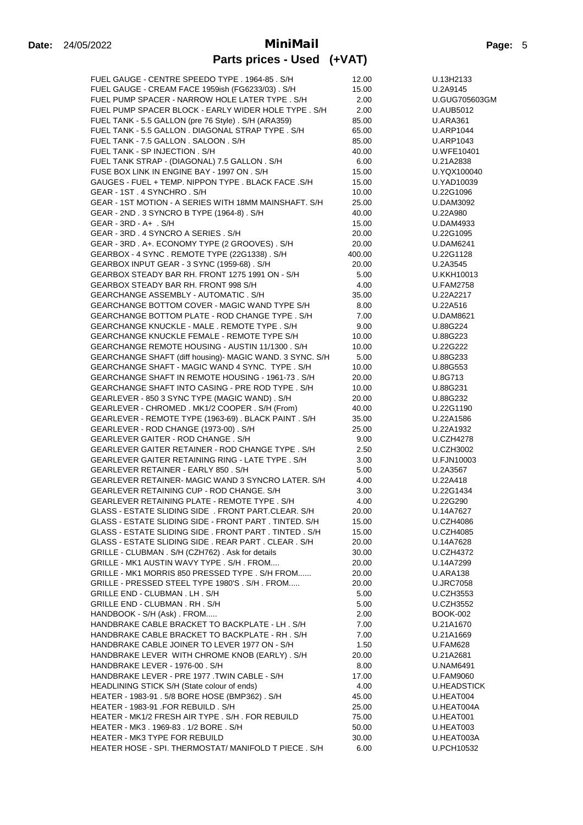| FUEL GAUGE - CENTRE SPEEDO TYPE. 1964-85. S/H                                                                | 12.00          | U.13H2133                     |
|--------------------------------------------------------------------------------------------------------------|----------------|-------------------------------|
| FUEL GAUGE - CREAM FACE 1959ish (FG6233/03). S/H                                                             | 15.00          | U.2A9145                      |
| FUEL PUMP SPACER - NARROW HOLE LATER TYPE . S/H                                                              | 2.00           | U.GUG705603GM                 |
| FUEL PUMP SPACER BLOCK - EARLY WIDER HOLE TYPE. S/H                                                          | 2.00           | <b>U.AUB5012</b>              |
| FUEL TANK - 5.5 GALLON (pre 76 Style). S/H (ARA359)                                                          | 85.00          | <b>U.ARA361</b>               |
| FUEL TANK - 5.5 GALLON . DIAGONAL STRAP TYPE . S/H                                                           | 65.00          | <b>U.ARP1044</b>              |
| FUEL TANK - 7.5 GALLON, SALOON, S/H                                                                          | 85.00          | <b>U.ARP1043</b>              |
| FUEL TANK - SP INJECTION . S/H                                                                               | 40.00          | U.WFE10401                    |
| FUEL TANK STRAP - (DIAGONAL) 7.5 GALLON . S/H                                                                | 6.00           | U.21A2838                     |
| FUSE BOX LINK IN ENGINE BAY - 1997 ON . S/H                                                                  | 15.00          | U.YQX100040                   |
| GAUGES - FUEL + TEMP, NIPPON TYPE, BLACK FACE, S/H                                                           | 15.00          | U.YAD10039                    |
| GEAR - 1ST . 4 SYNCHRO . S/H                                                                                 | 10.00          | U.22G1096                     |
| GEAR - 1ST MOTION - A SERIES WITH 18MM MAINSHAFT. S/H                                                        | 25.00          | U.DAM3092                     |
| GEAR - 2ND . 3 SYNCRO B TYPE (1964-8). S/H                                                                   | 40.00          | U.22A980                      |
| $GEAR - 3RD - A + . S/H$                                                                                     | 15.00          | U.DAM4933                     |
| GEAR - 3RD . 4 SYNCRO A SERIES . S/H                                                                         | 20.00          | U.22G1095                     |
| GEAR - 3RD. A+. ECONOMY TYPE (2 GROOVES). S/H                                                                | 20.00          | <b>U.DAM6241</b>              |
| GEARBOX - 4 SYNC. REMOTE TYPE (22G1338). S/H                                                                 | 400.00         | U.22G1128                     |
| GEARBOX INPUT GEAR - 3 SYNC (1959-68). S/H<br>GEARBOX STEADY BAR RH. FRONT 1275 1991 ON - S/H                | 20.00<br>5.00  | U.2A3545<br>U.KKH10013        |
| GEARBOX STEADY BAR RH. FRONT 998 S/H                                                                         | 4.00           | <b>U.FAM2758</b>              |
| GEARCHANGE ASSEMBLY - AUTOMATIC . S/H                                                                        | 35.00          | U.22A2217                     |
| <b>GEARCHANGE BOTTOM COVER - MAGIC WAND TYPE S/H</b>                                                         | 8.00           | U.22A516                      |
| GEARCHANGE BOTTOM PLATE - ROD CHANGE TYPE, S/H                                                               | 7.00           | U.DAM8621                     |
| GEARCHANGE KNUCKLE - MALE . REMOTE TYPE . S/H                                                                | 9.00           | U.88G224                      |
| <b>GEARCHANGE KNUCKLE FEMALE - REMOTE TYPE S/H</b>                                                           | 10.00          | U.88G223                      |
| GEARCHANGE REMOTE HOUSING - AUSTIN 11/1300. S/H                                                              | 10.00          | U.22G222                      |
| GEARCHANGE SHAFT (diff housing)- MAGIC WAND. 3 SYNC. S/H                                                     | 5.00           | U.88G233                      |
| GEARCHANGE SHAFT - MAGIC WAND 4 SYNC. TYPE . S/H                                                             | 10.00          | U.88G553                      |
| GEARCHANGE SHAFT IN REMOTE HOUSING - 1961-73. S/H                                                            | 20.00          | U.8G713                       |
| GEARCHANGE SHAFT INTO CASING - PRE ROD TYPE . S/H                                                            | 10.00          | U.88G231                      |
| GEARLEVER - 850 3 SYNC TYPE (MAGIC WAND). S/H                                                                | 20.00          | U.88G232                      |
| GEARLEVER - CHROMED. MK1/2 COOPER. S/H (From)                                                                | 40.00          | U.22G1190                     |
| GEARLEVER - REMOTE TYPE (1963-69). BLACK PAINT. S/H                                                          | 35.00          | U.22A1586                     |
| GEARLEVER - ROD CHANGE (1973-00). S/H                                                                        | 25.00          | U.22A1932                     |
| GEARLEVER GAITER - ROD CHANGE . S/H                                                                          | 9.00           | <b>U.CZH4278</b>              |
| GEARLEVER GAITER RETAINER - ROD CHANGE TYPE. S/H                                                             | 2.50           | <b>U.CZH3002</b>              |
| <b>GEARLEVER GAITER RETAINING RING - LATE TYPE, S/H</b>                                                      | 3.00           | U.FJN10003                    |
| GEARLEVER RETAINER - EARLY 850. S/H                                                                          | 5.00           | U.2A3567                      |
| GEARLEVER RETAINER- MAGIC WAND 3 SYNCRO LATER. S/H                                                           | 4.00           | U.22A418                      |
| GEARLEVER RETAINING CUP - ROD CHANGE. S/H                                                                    | 3.00           | U.22G1434                     |
| GEARLEVER RETAINING PLATE - REMOTE TYPE . S/H                                                                | 4.00           | U.22G290                      |
| GLASS - ESTATE SLIDING SIDE . FRONT PART.CLEAR. S/H<br>GLASS - ESTATE SLIDING SIDE - FRONT PART. TINTED. S/H | 20.00          | U.14A7627                     |
| GLASS - ESTATE SLIDING SIDE . FRONT PART . TINTED . S/H                                                      | 15.00          | U.CZH4086                     |
| GLASS - ESTATE SLIDING SIDE . REAR PART . CLEAR . S/H                                                        | 15.00<br>20.00 | <b>U.CZH4085</b><br>U.14A7628 |
| GRILLE - CLUBMAN . S/H (CZH762) . Ask for details                                                            | 30.00          | <b>U.CZH4372</b>              |
| GRILLE - MK1 AUSTIN WAVY TYPE . S/H. FROM                                                                    | 20.00          | U.14A7299                     |
| GRILLE - MK1 MORRIS 850 PRESSED TYPE . S/H FROM                                                              | 20.00          | U.ARA138                      |
| GRILLE - PRESSED STEEL TYPE 1980'S . S/H. FROM                                                               | 20.00          | <b>U.JRC7058</b>              |
| GRILLE END - CLUBMAN. LH. S/H                                                                                | 5.00           | <b>U.CZH3553</b>              |
| GRILLE END - CLUBMAN. RH. S/H                                                                                | 5.00           | <b>U.CZH3552</b>              |
| HANDBOOK - S/H (Ask) . FROM                                                                                  | 2.00           | BOOK-002                      |
| HANDBRAKE CABLE BRACKET TO BACKPLATE - LH. S/H                                                               | 7.00           | U.21A1670                     |
| HANDBRAKE CABLE BRACKET TO BACKPLATE - RH. S/H                                                               | 7.00           | U.21A1669                     |
| HANDBRAKE CABLE JOINER TO LEVER 1977 ON - S/H                                                                | 1.50           | U.FAM628                      |
| HANDBRAKE LEVER WITH CHROME KNOB (EARLY). S/H                                                                | 20.00          | U.21A2681                     |
| HANDBRAKE LEVER - 1976-00. S/H                                                                               | 8.00           | <b>U.NAM6491</b>              |
| HANDBRAKE LEVER - PRE 1977 .TWIN CABLE - S/H                                                                 | 17.00          | <b>U.FAM9060</b>              |
| HEADLINING STICK S/H (State colour of ends)                                                                  | 4.00           | <b>U.HEADSTICK</b>            |
| HEATER - 1983-91 . 5/8 BORE HOSE (BMP362) . S/H                                                              | 45.00          | U.HEAT004                     |
| HEATER - 1983-91 .FOR REBUILD . S/H                                                                          | 25.00          | U.HEAT004A                    |
| HEATER - MK1/2 FRESH AIR TYPE . S/H. FOR REBUILD                                                             | 75.00          | U.HEAT001                     |
| HEATER - MK3. 1969-83. 1/2 BORE. S/H                                                                         | 50.00          | U.HEAT003                     |
| HEATER - MK3 TYPE FOR REBUILD                                                                                | 30.00          | U.HEAT003A                    |
| HEATER HOSE - SPI. THERMOSTAT/ MANIFOLD T PIECE . S/H                                                        | 6.00           | U.PCH10532                    |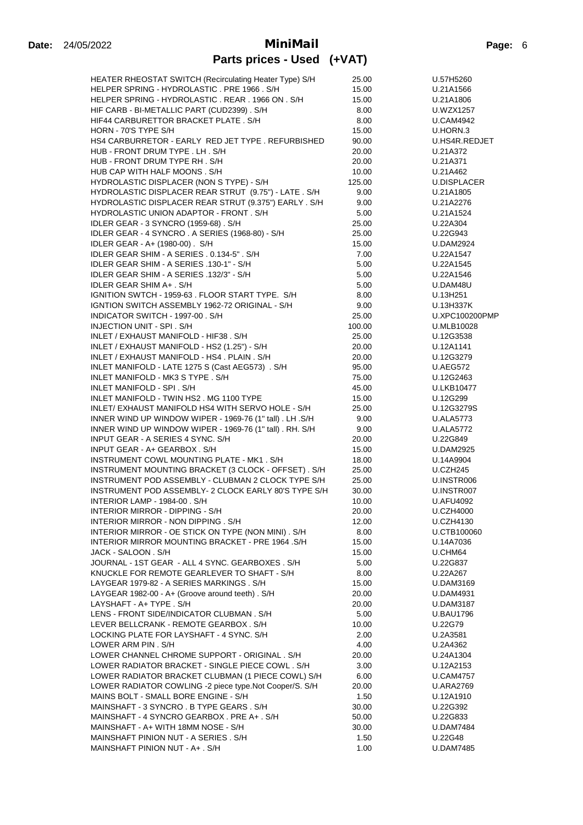| HEATER RHEOSTAT SWITCH (Recirculating Heater Type) S/H  | 25.00  | U.57H5260          |
|---------------------------------------------------------|--------|--------------------|
| HELPER SPRING - HYDROLASTIC. PRE 1966. S/H              | 15.00  | U.21A1566          |
| HELPER SPRING - HYDROLASTIC. REAR. 1966 ON. S/H         | 15.00  | U.21A1806          |
| HIF CARB - BI-METALLIC PART (CUD2399). S/H              | 8.00   | <b>U.WZX1257</b>   |
| HIF44 CARBURETTOR BRACKET PLATE . S/H                   | 8.00   | <b>U.CAM4942</b>   |
| HORN - 70'S TYPE S/H                                    | 15.00  | U.HORN.3           |
| HS4 CARBURRETOR - EARLY RED JET TYPE. REFURBISHED       | 90.00  | U.HS4R.REDJET      |
|                                                         |        |                    |
| HUB - FRONT DRUM TYPE . LH . S/H                        | 20.00  | U.21A372           |
| HUB - FRONT DRUM TYPE RH. S/H                           | 20.00  | U.21A371           |
| HUB CAP WITH HALF MOONS. S/H                            | 10.00  | U.21A462           |
| HYDROLASTIC DISPLACER (NON S TYPE) - S/H                | 125.00 | <b>U.DISPLACER</b> |
| HYDROLASTIC DISPLACER REAR STRUT (9.75") - LATE . S/H   | 9.00   | U.21A1805          |
| HYDROLASTIC DISPLACER REAR STRUT (9.375") EARLY . S/H   | 9.00   | U.21A2276          |
| HYDROLASTIC UNION ADAPTOR - FRONT. S/H                  | 5.00   | U.21A1524          |
| IDLER GEAR - 3 SYNCRO (1959-68). S/H                    | 25.00  | U.22A304           |
| IDLER GEAR - 4 SYNCRO. A SERIES (1968-80) - S/H         | 25.00  | U.22G943           |
|                                                         |        |                    |
| IDLER GEAR - A+ (1980-00). S/H                          | 15.00  | <b>U.DAM2924</b>   |
| IDLER GEAR SHIM - A SERIES . 0.134-5" . S/H             | 7.00   | U.22A1547          |
| IDLER GEAR SHIM - A SERIES .130-1" - S/H                | 5.00   | U.22A1545          |
| IDLER GEAR SHIM - A SERIES .132/3" - S/H                | 5.00   | U.22A1546          |
| IDLER GEAR SHIM A+ . S/H                                | 5.00   | U.DAM48U           |
| IGNITION SWTCH - 1959-63 . FLOOR START TYPE. S/H        | 8.00   | U.13H251           |
| IGNTION SWITCH ASSEMBLY 1962-72 ORIGINAL - S/H          | 9.00   | U.13H337K          |
| INDICATOR SWITCH - 1997-00 . S/H                        | 25.00  | U.XPC100200PMP     |
|                                                         |        |                    |
| INJECTION UNIT - SPI. S/H                               | 100.00 | U.MLB10028         |
| INLET / EXHAUST MANIFOLD - HIF38 . S/H                  | 25.00  | U.12G3538          |
| INLET / EXHAUST MANIFOLD - HS2 (1.25") - S/H            | 20.00  | U.12A1141          |
| INLET / EXHAUST MANIFOLD - HS4 . PLAIN . S/H            | 20.00  | U.12G3279          |
| INLET MANIFOLD - LATE 1275 S (Cast AEG573) . S/H        | 95.00  | <b>U.AEG572</b>    |
| INLET MANIFOLD - MK3 S TYPE . S/H                       | 75.00  | U.12G2463          |
| INLET MANIFOLD - SPI. S/H                               | 45.00  | U.LKB10477         |
| INLET MANIFOLD - TWIN HS2. MG 1100 TYPE                 |        |                    |
|                                                         | 15.00  | U.12G299           |
| INLET/ EXHAUST MANIFOLD HS4 WITH SERVO HOLE - S/H       | 25.00  | U.12G3279S         |
| INNER WIND UP WINDOW WIPER - 1969-76 (1" tall). LH.S/H  | 9.00   | <b>U.ALA5773</b>   |
| INNER WIND UP WINDOW WIPER - 1969-76 (1" tall). RH. S/H | 9.00   | <b>U.ALA5772</b>   |
| INPUT GEAR - A SERIES 4 SYNC. S/H                       | 20.00  | U.22G849           |
| INPUT GEAR - A+ GEARBOX . S/H                           | 15.00  | U.DAM2925          |
| INSTRUMENT COWL MOUNTING PLATE - MK1. S/H               | 18.00  | U.14A9904          |
| INSTRUMENT MOUNTING BRACKET (3 CLOCK - OFFSET). S/H     | 25.00  | <b>U.CZH245</b>    |
| INSTRUMENT POD ASSEMBLY - CLUBMAN 2 CLOCK TYPE S/H      | 25.00  | U.INSTR006         |
| INSTRUMENT POD ASSEMBLY- 2 CLOCK EARLY 80'S TYPE S/H    |        |                    |
|                                                         | 30.00  | U.INSTR007         |
| INTERIOR LAMP - 1984-00, S/H                            | 10.00  | <b>U.AFU4092</b>   |
| INTERIOR MIRROR - DIPPING - S/H                         | 20.00  | <b>U.CZH4000</b>   |
| INTERIOR MIRROR - NON DIPPING. S/H                      | 12.00  | <b>U.CZH4130</b>   |
| INTERIOR MIRROR - OE STICK ON TYPE (NON MINI). S/H      | 8.00   | U.CTB100060        |
| INTERIOR MIRROR MOUNTING BRACKET - PRE 1964 .S/H        | 15.00  | U.14A7036          |
| JACK - SALOON . S/H                                     | 15.00  | U.CHM64            |
| JOURNAL - 1ST GEAR - ALL 4 SYNC. GEARBOXES. S/H         | 5.00   | U.22G837           |
| KNUCKLE FOR REMOTE GEARLEVER TO SHAFT - S/H             | 8.00   | U.22A267           |
|                                                         |        |                    |
| LAYGEAR 1979-82 - A SERIES MARKINGS . S/H               | 15.00  | U.DAM3169          |
| LAYGEAR 1982-00 - A+ (Groove around teeth). S/H         | 20.00  | U.DAM4931          |
| LAYSHAFT - A+ TYPE. S/H                                 | 20.00  | <b>U.DAM3187</b>   |
| LENS - FRONT SIDE/INDICATOR CLUBMAN. S/H                | 5.00   | <b>U.BAU1796</b>   |
| LEVER BELLCRANK - REMOTE GEARBOX . S/H                  | 10.00  | U.22G79            |
| LOCKING PLATE FOR LAYSHAFT - 4 SYNC. S/H                | 2.00   | U.2A3581           |
| LOWER ARM PIN . S/H                                     | 4.00   | U.2A4362           |
| LOWER CHANNEL CHROME SUPPORT - ORIGINAL . S/H           | 20.00  | U.24A1304          |
|                                                         |        |                    |
| LOWER RADIATOR BRACKET - SINGLE PIECE COWL . S/H        | 3.00   | U.12A2153          |
| LOWER RADIATOR BRACKET CLUBMAN (1 PIECE COWL) S/H       | 6.00   | <b>U.CAM4757</b>   |
| LOWER RADIATOR COWLING -2 piece type.Not Cooper/S. S/H  | 20.00  | U.ARA2769          |
| MAINS BOLT - SMALL BORE ENGINE - S/H                    | 1.50   | U.12A1910          |
| MAINSHAFT - 3 SYNCRO. B TYPE GEARS. S/H                 | 30.00  | U.22G392           |
| MAINSHAFT - 4 SYNCRO GEARBOX. PRE A+. S/H               | 50.00  | U.22G833           |
| MAINSHAFT - A+ WITH 18MM NOSE - S/H                     | 30.00  | U.DAM7484          |
| MAINSHAFT PINION NUT - A SERIES. S/H                    | 1.50   | U.22G48            |
|                                                         |        |                    |
| MAINSHAFT PINION NUT - A+ . S/H                         | 1.00   | <b>U.DAM7485</b>   |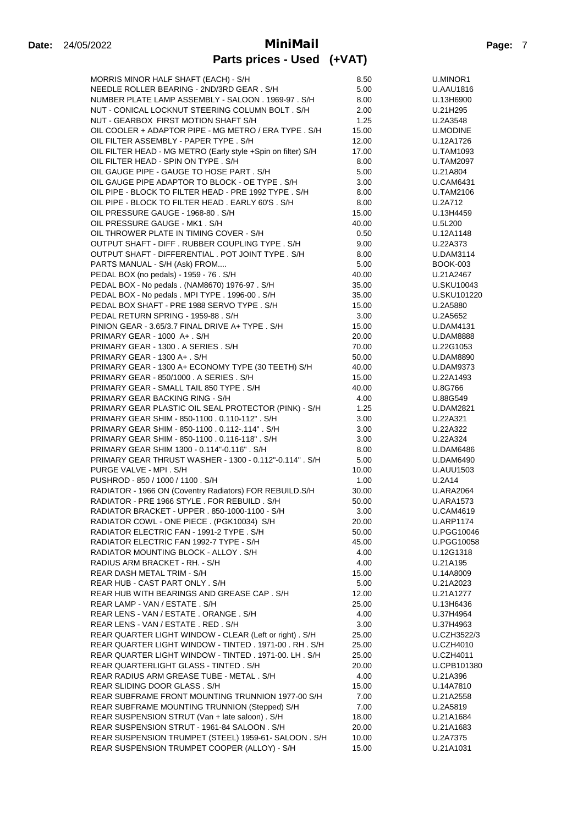| MORRIS MINOR HALF SHAFT (EACH) - S/H                                                   | 8.50          | U.MINOR1                   |
|----------------------------------------------------------------------------------------|---------------|----------------------------|
| NEEDLE ROLLER BEARING - 2ND/3RD GEAR. S/H                                              | 5.00          | <b>U.AAU1816</b>           |
| NUMBER PLATE LAMP ASSEMBLY - SALOON . 1969-97 . S/H                                    | 8.00          | U.13H6900                  |
| NUT - CONICAL LOCKNUT STEERING COLUMN BOLT. S/H                                        | 2.00          | U.21H295                   |
| NUT - GEARBOX FIRST MOTION SHAFT S/H                                                   | 1.25          | U.2A3548                   |
| OIL COOLER + ADAPTOR PIPE - MG METRO / ERA TYPE, S/H                                   | 15.00         | U.MODINE                   |
| OIL FILTER ASSEMBLY - PAPER TYPE . S/H                                                 | 12.00         | U.12A1726                  |
| OIL FILTER HEAD - MG METRO (Early style +Spin on filter) S/H                           | 17.00         | <b>U.TAM1093</b>           |
| OIL FILTER HEAD - SPIN ON TYPE. S/H                                                    | 8.00          | <b>U.TAM2097</b>           |
| OIL GAUGE PIPE - GAUGE TO HOSE PART. S/H                                               | 5.00          | U.21A804                   |
| OIL GAUGE PIPE ADAPTOR TO BLOCK - OE TYPE. S/H                                         | 3.00          | <b>U.CAM6431</b>           |
| OIL PIPE - BLOCK TO FILTER HEAD - PRE 1992 TYPE . S/H                                  | 8.00          | <b>U.TAM2106</b>           |
| OIL PIPE - BLOCK TO FILTER HEAD. EARLY 60'S. S/H<br>OIL PRESSURE GAUGE - 1968-80 . S/H | 8.00<br>15.00 | U.2A712<br>U.13H4459       |
| OIL PRESSURE GAUGE - MK1. S/H                                                          | 40.00         | U.5L200                    |
| OIL THROWER PLATE IN TIMING COVER - S/H                                                | 0.50          | U.12A1148                  |
| OUTPUT SHAFT - DIFF. RUBBER COUPLING TYPE. S/H                                         | 9.00          | U.22A373                   |
| OUTPUT SHAFT - DIFFERENTIAL . POT JOINT TYPE . S/H                                     | 8.00          | <b>U.DAM3114</b>           |
| PARTS MANUAL - S/H (Ask) FROM                                                          | 5.00          | <b>BOOK-003</b>            |
| PEDAL BOX (no pedals) - 1959 - 76. S/H                                                 | 40.00         | U.21A2467                  |
| PEDAL BOX - No pedals . (NAM8670) 1976-97 . S/H                                        | 35.00         | U.SKU10043                 |
| PEDAL BOX - No pedals . MPI TYPE . 1996-00 . S/H                                       | 35.00         | U.SKU101220                |
| PEDAL BOX SHAFT - PRE 1988 SERVO TYPE . S/H                                            | 15.00         | U.2A5880                   |
| PEDAL RETURN SPRING - 1959-88. S/H                                                     | 3.00          | U.2A5652                   |
| PINION GEAR - 3.65/3.7 FINAL DRIVE A+ TYPE . S/H                                       | 15.00         | <b>U.DAM4131</b>           |
| PRIMARY GEAR - 1000 A+ . S/H                                                           | 20.00         | <b>U.DAM8888</b>           |
| PRIMARY GEAR - 1300 . A SERIES . S/H                                                   | 70.00         | U.22G1053                  |
| PRIMARY GEAR - 1300 A+ . S/H                                                           | 50.00         | <b>U.DAM8890</b>           |
| PRIMARY GEAR - 1300 A+ ECONOMY TYPE (30 TEETH) S/H                                     | 40.00         | <b>U.DAM9373</b>           |
| PRIMARY GEAR - 850/1000 . A SERIES . S/H                                               | 15.00         | U.22A1493                  |
| PRIMARY GEAR - SMALL TAIL 850 TYPE. S/H                                                | 40.00         | U.8G766                    |
| PRIMARY GEAR BACKING RING - S/H                                                        | 4.00          | U.88G549                   |
| PRIMARY GEAR PLASTIC OIL SEAL PROTECTOR (PINK) - S/H                                   | 1.25          | <b>U.DAM2821</b>           |
| PRIMARY GEAR SHIM - 850-1100 . 0.110-112" . S/H                                        | 3.00          | U.22A321                   |
| PRIMARY GEAR SHIM - 850-1100 . 0.112-.114" . S/H                                       | 3.00          | U.22A322                   |
| PRIMARY GEAR SHIM - 850-1100 . 0.116-118" . S/H                                        | 3.00          | U.22A324                   |
| PRIMARY GEAR SHIM 1300 - 0.114"-0.116" . S/H                                           | 8.00          | <b>U.DAM6486</b>           |
| PRIMARY GEAR THRUST WASHER - 1300 - 0.112"-0.114" . S/H                                | 5.00          | <b>U.DAM6490</b>           |
| PURGE VALVE - MPI . S/H<br>PUSHROD - 850 / 1000 / 1100 . S/H                           | 10.00<br>1.00 | <b>U.AUU1503</b><br>U.2A14 |
| RADIATOR - 1966 ON (Coventry Radiators) FOR REBUILD.S/H                                | 30.00         | <b>U.ARA2064</b>           |
| RADIATOR - PRE 1966 STYLE . FOR REBUILD . S/H                                          | 50.00         | <b>U.ARA1573</b>           |
| RADIATOR BRACKET - UPPER . 850-1000-1100 - S/H                                         | 3.00          | <b>U.CAM4619</b>           |
| RADIATOR COWL - ONE PIECE. (PGK10034) S/H                                              | 20.00         | <b>U.ARP1174</b>           |
| RADIATOR ELECTRIC FAN - 1991-2 TYPE . S/H                                              | 50.00         | U.PGG10046                 |
| RADIATOR ELECTRIC FAN 1992-7 TYPE - S/H                                                | 45.00         | U.PGG10058                 |
| RADIATOR MOUNTING BLOCK - ALLOY . S/H                                                  | 4.00          | U.12G1318                  |
| RADIUS ARM BRACKET - RH. - S/H                                                         | 4.00          | U.21A195                   |
| REAR DASH METAL TRIM - S/H                                                             | 15.00         | U.14A8009                  |
| REAR HUB - CAST PART ONLY . S/H                                                        | 5.00          | U.21A2023                  |
| REAR HUB WITH BEARINGS AND GREASE CAP. S/H                                             | 12.00         | U.21A1277                  |
| REAR LAMP - VAN / ESTATE . S/H                                                         | 25.00         | U.13H6436                  |
| REAR LENS - VAN / ESTATE . ORANGE . S/H                                                | 4.00          | U.37H4964                  |
| REAR LENS - VAN / ESTATE, RED, S/H                                                     | 3.00          | U.37H4963                  |
| REAR QUARTER LIGHT WINDOW - CLEAR (Left or right). S/H                                 | 25.00         | U.CZH3522/3                |
| REAR QUARTER LIGHT WINDOW - TINTED . 1971-00 . RH . S/H                                | 25.00         | U.CZH4010                  |
| REAR QUARTER LIGHT WINDOW - TINTED . 1971-00. LH. S/H                                  | 25.00         | <b>U.CZH4011</b>           |
| REAR QUARTERLIGHT GLASS - TINTED . S/H                                                 | 20.00         | U.CPB101380                |
| REAR RADIUS ARM GREASE TUBE - METAL. S/H                                               | 4.00          | U.21A396                   |
| REAR SLIDING DOOR GLASS . S/H                                                          | 15.00         | U.14A7810                  |
| REAR SUBFRAME FRONT MOUNTING TRUNNION 1977-00 S/H                                      | 7.00          | U.21A2558                  |
| REAR SUBFRAME MOUNTING TRUNNION (Stepped) S/H                                          | 7.00          | U.2A5819                   |
| REAR SUSPENSION STRUT (Van + late saloon) . S/H                                        | 18.00         | U.21A1684                  |
| REAR SUSPENSION STRUT - 1961-84 SALOON . S/H                                           | 20.00         | U.21A1683                  |
| REAR SUSPENSION TRUMPET (STEEL) 1959-61- SALOON. S/H                                   | 10.00         | U.2A7375                   |
| REAR SUSPENSION TRUMPET COOPER (ALLOY) - S/H                                           | 15.00         | U.21A1031                  |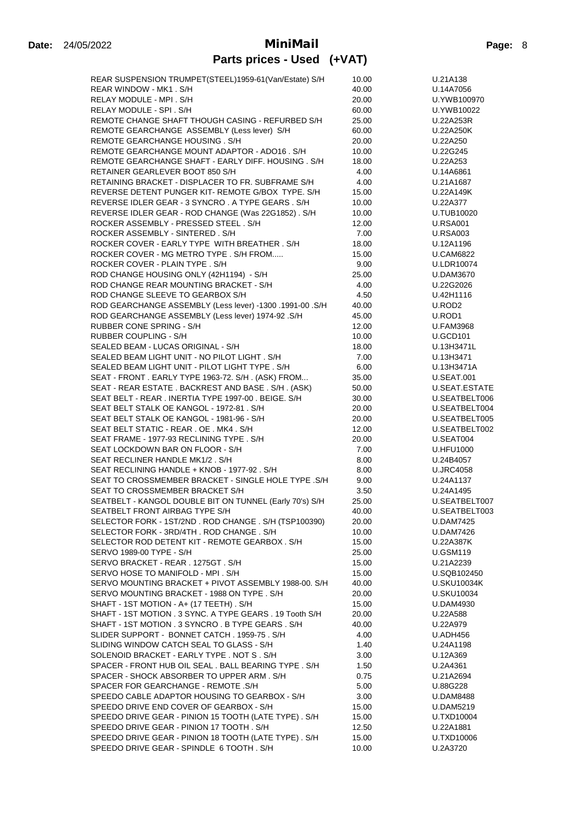| REAR SUSPENSION TRUMPET(STEEL)1959-61(Van/Estate) S/H                                              | 10.00          | U.21A138                     |
|----------------------------------------------------------------------------------------------------|----------------|------------------------------|
| REAR WINDOW - MK1. S/H                                                                             | 40.00          | U.14A7056                    |
| RELAY MODULE - MPI . S/H                                                                           | 20.00          | U.YWB100970                  |
| RELAY MODULE - SPI. S/H                                                                            | 60.00          | U.YWB10022                   |
| REMOTE CHANGE SHAFT THOUGH CASING - REFURBED S/H                                                   | 25.00          | U.22A253R                    |
| REMOTE GEARCHANGE ASSEMBLY (Less lever) S/H                                                        | 60.00          | U.22A250K                    |
| REMOTE GEARCHANGE HOUSING. S/H                                                                     | 20.00          | U.22A250                     |
| REMOTE GEARCHANGE MOUNT ADAPTOR - ADO16. S/H                                                       | 10.00          | U.22G245                     |
| REMOTE GEARCHANGE SHAFT - EARLY DIFF. HOUSING . S/H                                                | 18.00          | U.22A253                     |
| RETAINER GEARLEVER BOOT 850 S/H                                                                    | 4.00           | U.14A6861                    |
| RETAINING BRACKET - DISPLACER TO FR. SUBFRAME S/H                                                  | 4.00           | U.21A1687                    |
| REVERSE DETENT PUNGER KIT-REMOTE G/BOX TYPE, S/H                                                   | 15.00          | U.22A149K                    |
| REVERSE IDLER GEAR - 3 SYNCRO. A TYPE GEARS. S/H                                                   | 10.00          | U.22A377                     |
| REVERSE IDLER GEAR - ROD CHANGE (Was 22G1852). S/H                                                 | 10.00          | U.TUB10020                   |
| ROCKER ASSEMBLY - PRESSED STEEL . S/H                                                              | 12.00          | <b>U.RSA001</b>              |
| ROCKER ASSEMBLY - SINTERED. S/H                                                                    | 7.00           | <b>U.RSA003</b>              |
| ROCKER COVER - EARLY TYPE WITH BREATHER. S/H                                                       | 18.00          | U.12A1196                    |
| ROCKER COVER - MG METRO TYPE . S/H FROM                                                            | 15.00          | <b>U.CAM6822</b>             |
| ROCKER COVER - PLAIN TYPE. S/H<br>ROD CHANGE HOUSING ONLY (42H1194) - S/H                          | 9.00           | <b>U.LDR10074</b>            |
| ROD CHANGE REAR MOUNTING BRACKET - S/H                                                             | 25.00          | U.DAM3670<br>U.22G2026       |
| ROD CHANGE SLEEVE TO GEARBOX S/H                                                                   | 4.00<br>4.50   | U.42H1116                    |
| ROD GEARCHANGE ASSEMBLY (Less lever) -1300 .1991-00 .S/H                                           | 40.00          | U.ROD2                       |
| ROD GEARCHANGE ASSEMBLY (Less lever) 1974-92 .S/H                                                  | 45.00          | U.ROD1                       |
| <b>RUBBER CONE SPRING - S/H</b>                                                                    | 12.00          | <b>U.FAM3968</b>             |
| <b>RUBBER COUPLING - S/H</b>                                                                       | 10.00          | <b>U.GCD101</b>              |
| SEALED BEAM - LUCAS ORIGINAL - S/H                                                                 | 18.00          | U.13H3471L                   |
| SEALED BEAM LIGHT UNIT - NO PILOT LIGHT . S/H                                                      | 7.00           | U.13H3471                    |
| SEALED BEAM LIGHT UNIT - PILOT LIGHT TYPE . S/H                                                    | 6.00           | U.13H3471A                   |
| SEAT - FRONT. EARLY TYPE 1963-72. S/H. (ASK) FROM                                                  | 35.00          | <b>U.SEAT.001</b>            |
| SEAT - REAR ESTATE . BACKREST AND BASE . S/H. (ASK)                                                | 50.00          | U.SEAT.ESTATE                |
| SEAT BELT - REAR . INERTIA TYPE 1997-00 . BEIGE. S/H                                               | 30.00          | U.SEATBELT006                |
| SEAT BELT STALK OE KANGOL - 1972-81. S/H                                                           | 20.00          | U.SEATBELT004                |
| SEAT BELT STALK OE KANGOL - 1981-96 - S/H                                                          | 20.00          | U.SEATBELT005                |
| SEAT BELT STATIC - REAR . OE . MK4 . S/H                                                           | 12.00          | U.SEATBELT002                |
| SEAT FRAME - 1977-93 RECLINING TYPE. S/H                                                           | 20.00          | U.SEAT004                    |
| SEAT LOCKDOWN BAR ON FLOOR - S/H                                                                   | 7.00           | <b>U.HFU1000</b>             |
| SEAT RECLINER HANDLE MK1/2, S/H                                                                    | 8.00           | U.24B4057                    |
| SEAT RECLINING HANDLE + KNOB - 1977-92. S/H                                                        | 8.00           | <b>U.JRC4058</b>             |
| SEAT TO CROSSMEMBER BRACKET - SINGLE HOLE TYPE .S/H                                                | 9.00           | U.24A1137                    |
| SEAT TO CROSSMEMBER BRACKET S/H                                                                    | 3.50           | U.24A1495                    |
| SEATBELT - KANGOL DOUBLE BIT ON TUNNEL (Early 70's) S/H                                            | 25.00          | U.SEATBELT007                |
| SEATBELT FRONT AIRBAG TYPE S/H                                                                     | 40.00          | U.SEATBELT003                |
| SELECTOR FORK - 1ST/2ND. ROD CHANGE. S/H (TSP100390)                                               | 20.00          | <b>U.DAM7425</b>             |
| SELECTOR FORK - 3RD/4TH . ROD CHANGE . S/H                                                         | 10.00          | <b>U.DAM7426</b>             |
| SELECTOR ROD DETENT KIT - REMOTE GEARBOX . S/H                                                     | 15.00          | U.22A387K                    |
| SERVO 1989-00 TYPE - S/H                                                                           | 25.00          | <b>U.GSM119</b>              |
| SERVO BRACKET - REAR . 1275GT . S/H                                                                | 15.00          | U.21A2239                    |
| SERVO HOSE TO MANIFOLD - MPI. S/H                                                                  | 15.00          | U.SQB102450                  |
| SERVO MOUNTING BRACKET + PIVOT ASSEMBLY 1988-00. S/H<br>SERVO MOUNTING BRACKET - 1988 ON TYPE, S/H | 40.00          | <b>U.SKU10034K</b>           |
| SHAFT - 1ST MOTION - A+ (17 TEETH). S/H                                                            | 20.00          | <b>U.SKU10034</b>            |
| SHAFT - 1ST MOTION . 3 SYNC. A TYPE GEARS . 19 Tooth S/H                                           | 15.00<br>20.00 | <b>U.DAM4930</b><br>U.22A588 |
| SHAFT - 1ST MOTION . 3 SYNCRO . B TYPE GEARS . S/H                                                 | 40.00          | U.22A979                     |
| SLIDER SUPPORT - BONNET CATCH, 1959-75, S/H                                                        | 4.00           | U.ADH456                     |
| SLIDING WINDOW CATCH SEAL TO GLASS - S/H                                                           | 1.40           | U.24A1198                    |
| SOLENOID BRACKET - EARLY TYPE . NOT S . S/H                                                        | 3.00           | U.12A369                     |
| SPACER - FRONT HUB OIL SEAL. BALL BEARING TYPE. S/H                                                | 1.50           | U.2A4361                     |
| SPACER - SHOCK ABSORBER TO UPPER ARM. S/H                                                          | 0.75           | U.21A2694                    |
| SPACER FOR GEARCHANGE - REMOTE .S/H                                                                | 5.00           | U.88G228                     |
| SPEEDO CABLE ADAPTOR HOUSING TO GEARBOX - S/H                                                      | 3.00           | <b>U.DAM8488</b>             |
| SPEEDO DRIVE END COVER OF GEARBOX - S/H                                                            | 15.00          | <b>U.DAM5219</b>             |
| SPEEDO DRIVE GEAR - PINION 15 TOOTH (LATE TYPE). S/H                                               | 15.00          | U.TXD10004                   |
| SPEEDO DRIVE GEAR - PINION 17 TOOTH. S/H                                                           | 12.50          | U.22A1881                    |
| SPEEDO DRIVE GEAR - PINION 18 TOOTH (LATE TYPE). S/H                                               | 15.00          | U.TXD10006                   |
| SPEEDO DRIVE GEAR - SPINDLE 6 TOOTH. S/H                                                           | 10.00          | U.2A3720                     |
|                                                                                                    |                |                              |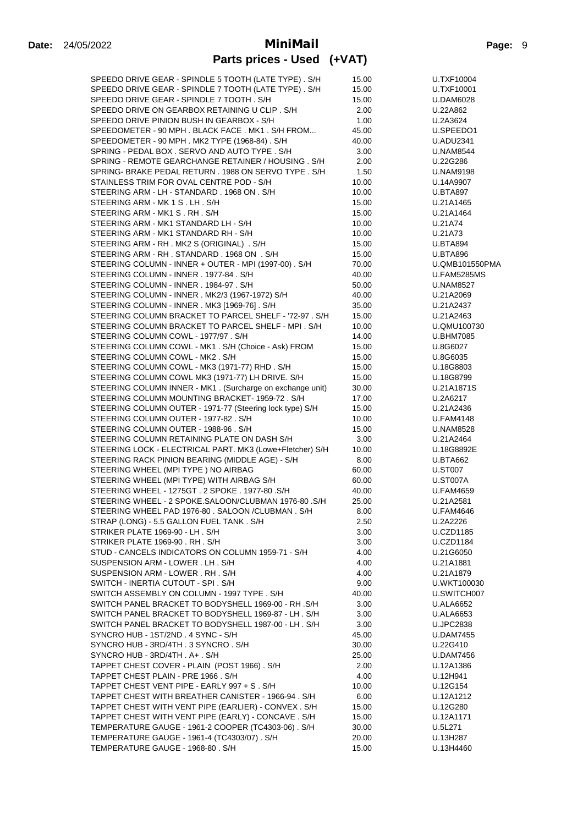| SPEEDO DRIVE GEAR - SPINDLE 5 TOOTH (LATE TYPE). S/H      | 15.00 | U.TXF10004         |
|-----------------------------------------------------------|-------|--------------------|
| SPEEDO DRIVE GEAR - SPINDLE 7 TOOTH (LATE TYPE). S/H      | 15.00 | U.TXF10001         |
| SPEEDO DRIVE GEAR - SPINDLE 7 TOOTH, S/H                  | 15.00 | U.DAM6028          |
| SPEEDO DRIVE ON GEARBOX RETAINING U CLIP. S/H             | 2.00  | U.22A862           |
| SPEEDO DRIVE PINION BUSH IN GEARBOX - S/H                 | 1.00  | U.2A3624           |
| SPEEDOMETER - 90 MPH. BLACK FACE. MK1. S/H FROM           | 45.00 | U.SPEEDO1          |
| SPEEDOMETER - 90 MPH. MK2 TYPE (1968-84). S/H             | 40.00 | <b>U.ADU2341</b>   |
| SPRING - PEDAL BOX . SERVO AND AUTO TYPE . S/H            | 3.00  | <b>U.NAM8544</b>   |
| SPRING - REMOTE GEARCHANGE RETAINER / HOUSING . S/H       | 2.00  | U.22G286           |
| SPRING- BRAKE PEDAL RETURN . 1988 ON SERVO TYPE . S/H     | 1.50  | <b>U.NAM9198</b>   |
| STAINLESS TRIM FOR OVAL CENTRE POD - S/H                  | 10.00 | U.14A9907          |
| STEERING ARM - LH - STANDARD . 1968 ON . S/H              | 10.00 | <b>U.BTA897</b>    |
| STEERING ARM - MK 1 S. LH. S/H                            | 15.00 | U.21A1465          |
| STEERING ARM - MK1 S.RH. S/H                              | 15.00 | U.21A1464          |
| STEERING ARM - MK1 STANDARD LH - S/H                      | 10.00 | U.21A74            |
| STEERING ARM - MK1 STANDARD RH - S/H                      | 10.00 | U.21A73            |
| STEERING ARM - RH. MK2 S (ORIGINAL) . S/H                 | 15.00 | <b>U.BTA894</b>    |
| STEERING ARM - RH. STANDARD. 1968 ON . S/H                | 15.00 | <b>U.BTA896</b>    |
| STEERING COLUMN - INNER + OUTER - MPI (1997-00). S/H      | 70.00 | U.QMB101550PMA     |
| STEERING COLUMN - INNER . 1977-84 . S/H                   | 40.00 | <b>U.FAM5285MS</b> |
| STEERING COLUMN - INNER . 1984-97 . S/H                   | 50.00 | <b>U.NAM8527</b>   |
| STEERING COLUMN - INNER. MK2/3 (1967-1972) S/H            | 40.00 | U.21A2069          |
| STEERING COLUMN - INNER. MK3 [1969-76]. S/H               |       |                    |
| STEERING COLUMN BRACKET TO PARCEL SHELF - '72-97. S/H     | 35.00 | U.21A2437          |
|                                                           | 15.00 | U.21A2463          |
| STEERING COLUMN BRACKET TO PARCEL SHELF - MPI. S/H        | 10.00 | U.QMU100730        |
| STEERING COLUMN COWL - 1977/97 . S/H                      | 14.00 | <b>U.BHM7085</b>   |
| STEERING COLUMN COWL - MK1. S/H (Choice - Ask) FROM       | 15.00 | U.8G6027           |
| STEERING COLUMN COWL - MK2. S/H                           | 15.00 | U.8G6035           |
| STEERING COLUMN COWL - MK3 (1971-77) RHD. S/H             | 15.00 | U.18G8803          |
| STEERING COLUMN COWL MK3 (1971-77) LH DRIVE. S/H          | 15.00 | U.18G8799          |
| STEERING COLUMN INNER - MK1. (Surcharge on exchange unit) | 30.00 | U.21A1871S         |
| STEERING COLUMN MOUNTING BRACKET- 1959-72. S/H            | 17.00 | U.2A6217           |
| STEERING COLUMN OUTER - 1971-77 (Steering lock type) S/H  | 15.00 | U.21A2436          |
| STEERING COLUMN OUTER - 1977-82. S/H                      | 10.00 | <b>U.FAM4148</b>   |
| STEERING COLUMN OUTER - 1988-96 . S/H                     | 15.00 | <b>U.NAM8528</b>   |
| STEERING COLUMN RETAINING PLATE ON DASH S/H               | 3.00  | U.21A2464          |
| STEERING LOCK - ELECTRICAL PART. MK3 (Lowe+Fletcher) S/H  | 10.00 | U.18G8892E         |
| STEERING RACK PINION BEARING (MIDDLE AGE) - S/H           | 8.00  | <b>U.BTA662</b>    |
| STEERING WHEEL (MPI TYPE) NO AIRBAG                       | 60.00 | <b>U.ST007</b>     |
| STEERING WHEEL (MPI TYPE) WITH AIRBAG S/H                 | 60.00 | U.ST007A           |
| STEERING WHEEL - 1275GT . 2 SPOKE . 1977-80 .S/H          | 40.00 | <b>U.FAM4659</b>   |
| STEERING WHEEL - 2 SPOKE.SALOON/CLUBMAN 1976-80 .S/H      | 25.00 | U.21A2581          |
| STEERING WHEEL PAD 1976-80 . SALOON / CLUBMAN . S/H       | 8.00  | <b>U.FAM4646</b>   |
| STRAP (LONG) - 5.5 GALLON FUEL TANK . S/H                 | 2.50  | U.2A2226           |
| STRIKER PLATE 1969-90 - LH. S/H                           | 3.00  | U.CZD1185          |
| STRIKER PLATE 1969-90 . RH . S/H                          | 3.00  | <b>U.CZD1184</b>   |
| STUD - CANCELS INDICATORS ON COLUMN 1959-71 - S/H         | 4.00  | U.21G6050          |
| SUSPENSION ARM - LOWER . LH. S/H                          | 4.00  | U.21A1881          |
| SUSPENSION ARM - LOWER . RH . S/H                         | 4.00  | U.21A1879          |
| SWITCH - INERTIA CUTOUT - SPI. S/H                        | 9.00  | U.WKT100030        |
| SWITCH ASSEMBLY ON COLUMN - 1997 TYPE . S/H               | 40.00 | U.SWITCH007        |
| SWITCH PANEL BRACKET TO BODYSHELL 1969-00 - RH .S/H       | 3.00  | <b>U.ALA6652</b>   |
| SWITCH PANEL BRACKET TO BODYSHELL 1969-87 - LH. S/H       | 3.00  | <b>U.ALA6653</b>   |
| SWITCH PANEL BRACKET TO BODYSHELL 1987-00 - LH. S/H       | 3.00  | <b>U.JPC2838</b>   |
| SYNCRO HUB - 1ST/2ND . 4 SYNC - S/H                       | 45.00 | <b>U.DAM7455</b>   |
| SYNCRO HUB - 3RD/4TH . 3 SYNCRO . S/H                     | 30.00 | U.22G410           |
| SYNCRO HUB - 3RD/4TH . A+ . S/H                           | 25.00 | <b>U.DAM7456</b>   |
| TAPPET CHEST COVER - PLAIN (POST 1966). S/H               | 2.00  | U.12A1386          |
| TAPPET CHEST PLAIN - PRE 1966 . S/H                       | 4.00  | U.12H941           |
| TAPPET CHEST VENT PIPE - EARLY 997 + S. S/H               | 10.00 | U.12G154           |
| TAPPET CHEST WITH BREATHER CANISTER - 1966-94. S/H        | 6.00  | U.12A1212          |
| TAPPET CHEST WITH VENT PIPE (EARLIER) - CONVEX. S/H       | 15.00 | U.12G280           |
| TAPPET CHEST WITH VENT PIPE (EARLY) - CONCAVE . S/H       | 15.00 | U.12A1171          |
| TEMPERATURE GAUGE - 1961-2 COOPER (TC4303-06). S/H        | 30.00 | U.5L271            |
| TEMPERATURE GAUGE - 1961-4 (TC4303/07). S/H               | 20.00 | U.13H287           |
| TEMPERATURE GAUGE - 1968-80. S/H                          | 15.00 | U.13H4460          |